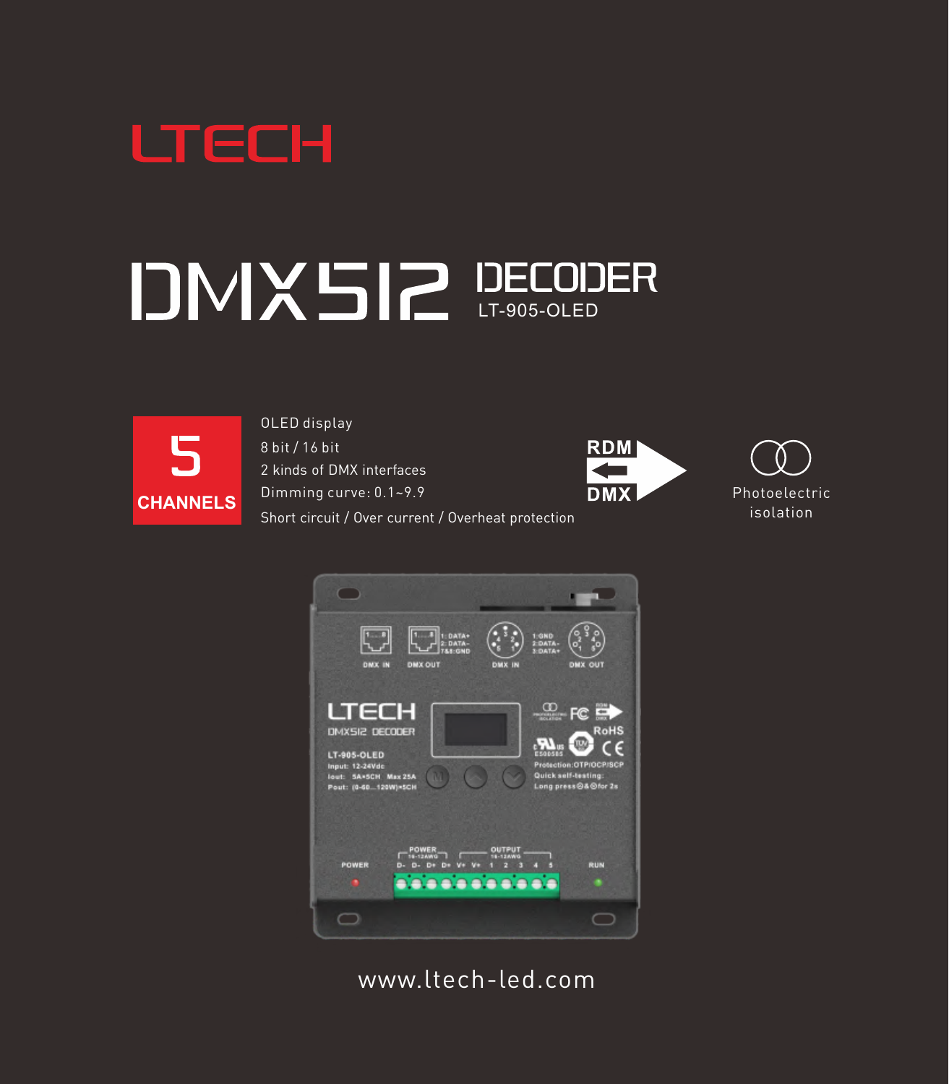

# DMX5I2 DECODER



OLED display

8 bit / 16 bit

2 kinds of DMX interfaces

Dimming curve: 0.1~9.9

Short circuit / Over current / Overheat protection







[www.ltech-led.com](http://www.ltech-led.com)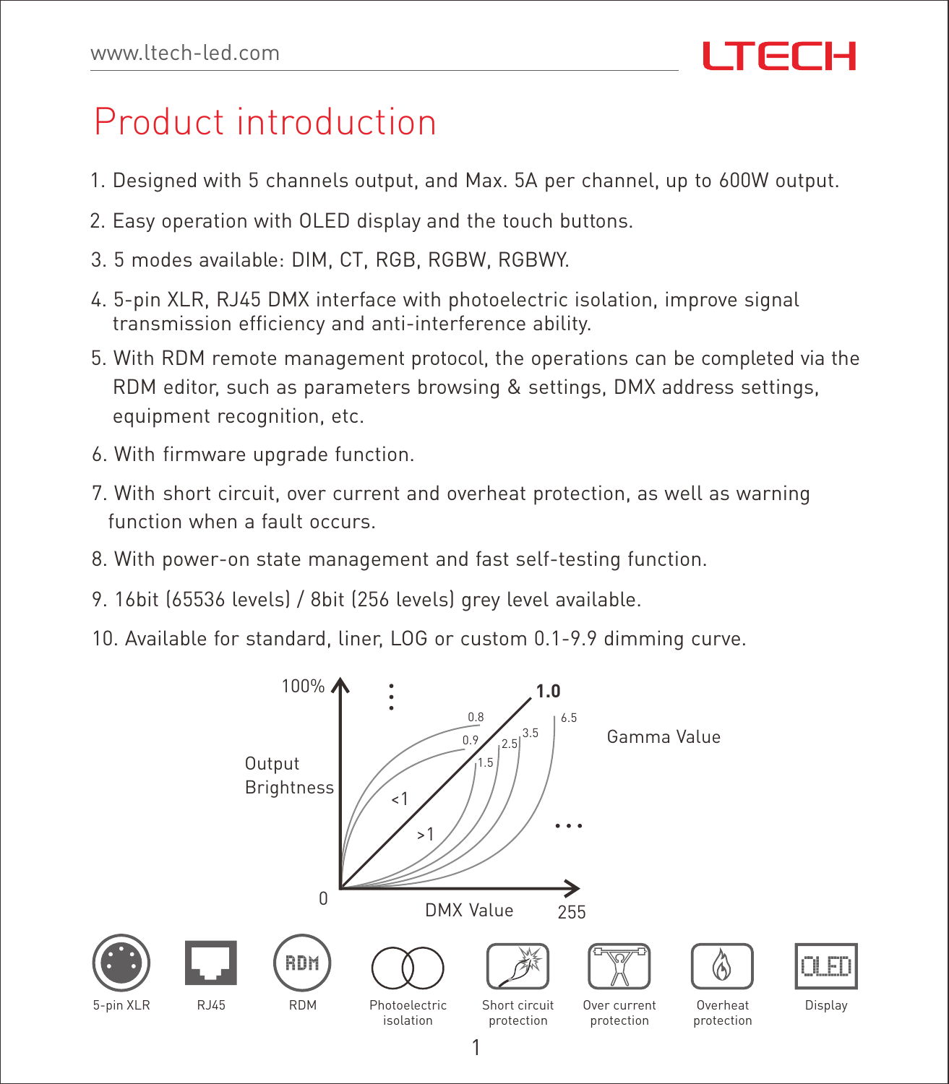# Product introduction

- 1. Designed with 5 channels output, and Max. 5A per channel, up to 600W output.
- 2. Easy operation with OLED display and the touch buttons.
- 3. 5 modes available: DIM, CT, RGB, RGBW, RGBWY.
- 4. 5-pin XLR, RJ45 DMX interface with photoelectric isolation, improve signal transmission efficiency and anti-interference ability.
- 5. With RDM remote management protocol, the operations can be completed via the RDM editor, such as parameters browsing & settings, DMX address settings, equipment recognition, etc.
- 6. With firmware upgrade function.
- 7. With short circuit, over current and overheat protection, as well as warning function when a fault occurs.
- 8. With power-on state management and fast self-testing function.
- 9. 16bit (65536 levels) / 8bit (256 levels) grey level available.
- 10. Available for standard, liner, LOG or custom 0.1-9.9 dimming curve.

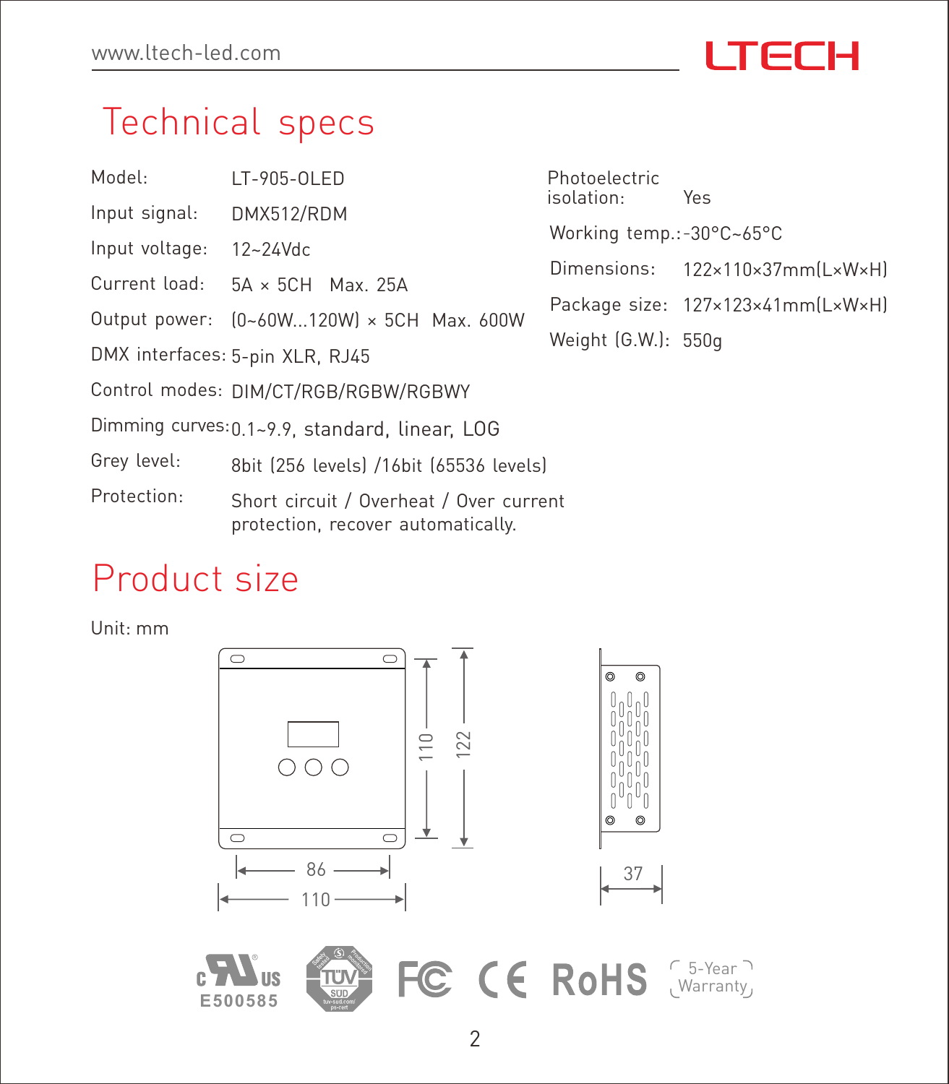# **ITECH**

122×110×37mm(L×W×H)

Package size: 127×123×41mm(L×W×H)

Photoelectric isolation: Yes Working temp.:-30°C~65°C

Dimensions:

Weight (G.W.): 550g

# Technical specs

- LT-905-OLED Model:
- DMX512/RDM Input signal:
- 12~24Vdc Input voltage:
- 5A × 5CH Max. 25A Current load:
- Output power: (0~60W...120W) × 5CH Max. 600W
- DMX interfaces: 5-pin XLR, RJ45

Control modes: DIM/CT/RGB/RGBW/RGBWY

Dimming curves: 0.1~9.9, standard, linear, LOG

8bit (256 levels) /16bit (65536 levels) Grey level:

Short circuit / Overheat / Over current protection, recover automatically. Protection:

#### Product size

Unit: mm



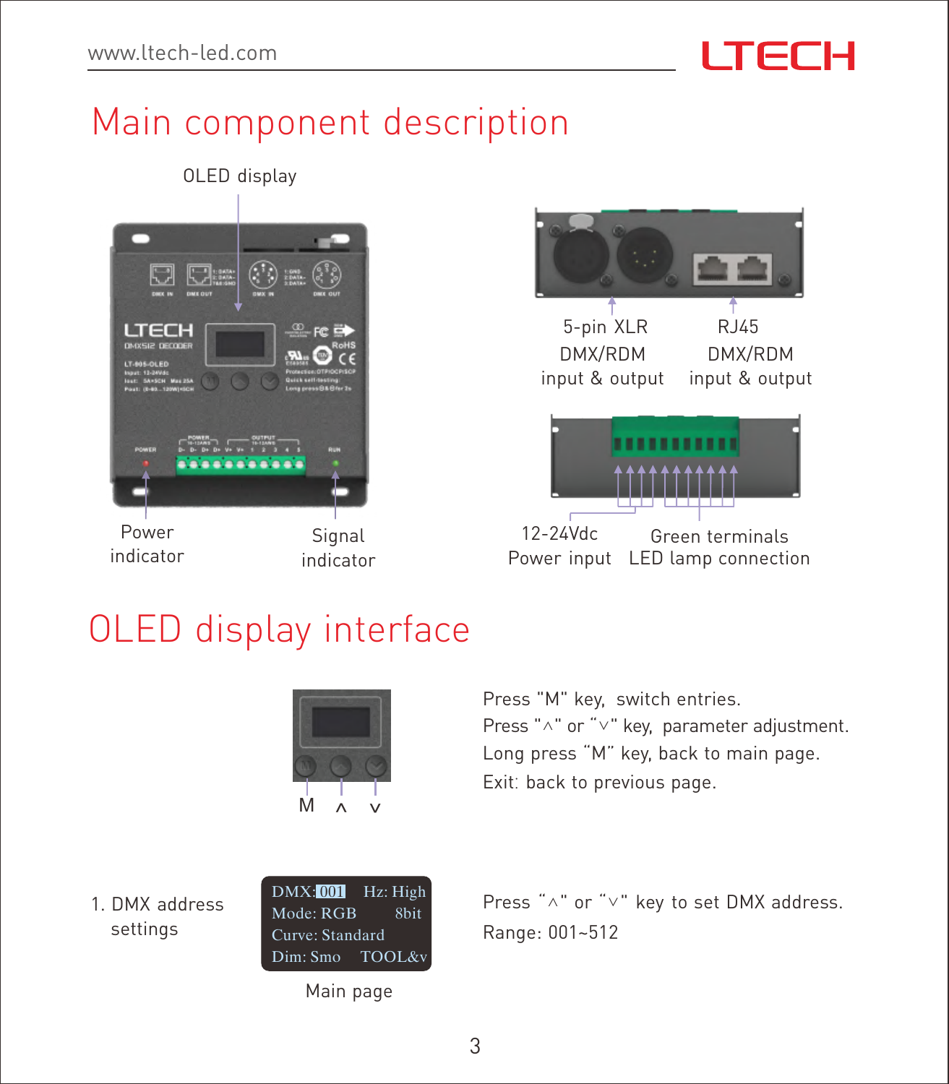# **ITECH**

# Main component description





# OLED display interface



Press "M" key, switch entries. Press "∧" or "∨" key, parameter adjustment. Long press "M" key, back to main page. Exit: back to previous page.

1. DMX address settings

DMX: 001 Hz: High Mode: RGB 8bit Curve: Standard Dim: Smo TOOL&v

Main page

Press "∧" or "∨" key to set DMX address. Range: 001~512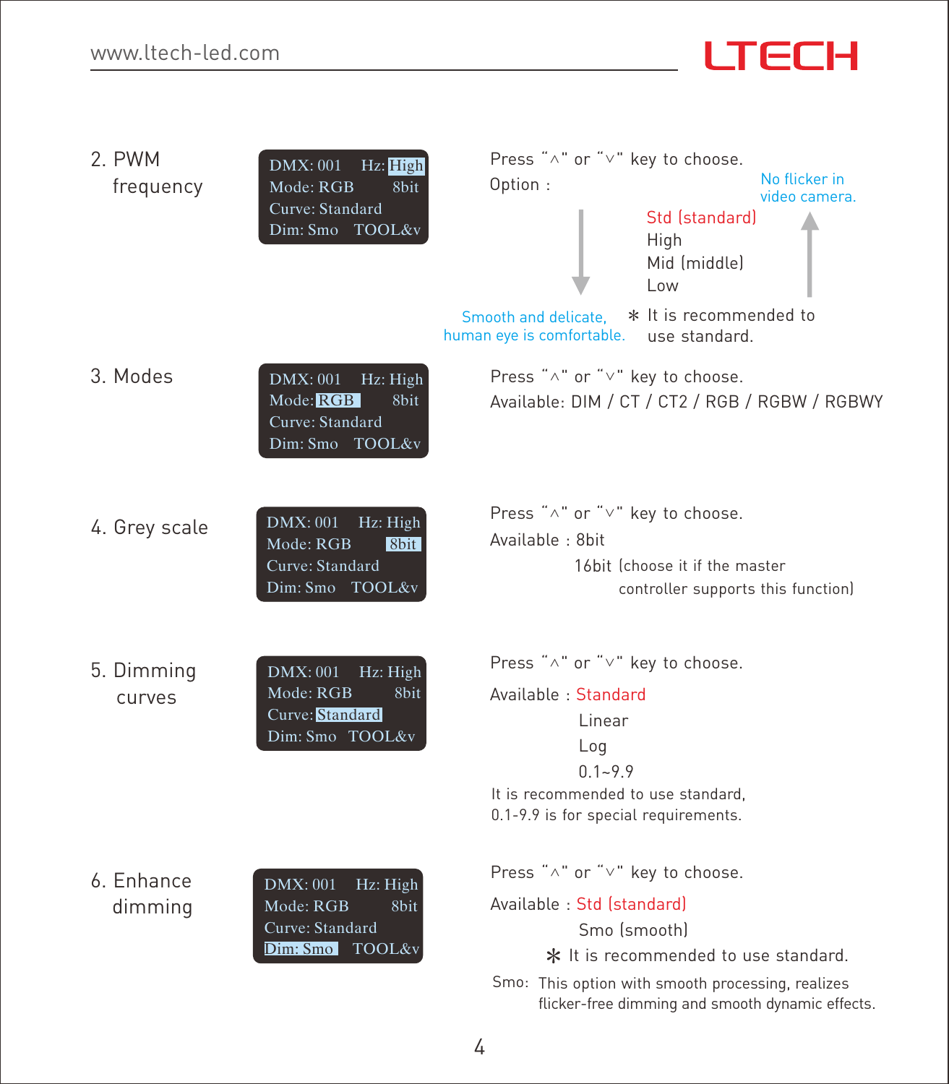| 2. PWM<br>frequency   | Hz: High<br>DMX: 001<br>Mode: RGB<br>8 <sub>bit</sub><br>Curve: Standard<br>Dim: Smo TOOL&v        | Press "^" or "v" key to choose.<br>No flicker in<br>Option:<br>video camera.<br>Std (standard)<br>High<br>Mid (middle)<br>l ow<br>* It is recommended to<br>Smooth and delicate.<br>use standard.<br>human eye is comfortable. |
|-----------------------|----------------------------------------------------------------------------------------------------|--------------------------------------------------------------------------------------------------------------------------------------------------------------------------------------------------------------------------------|
| 3 Modes               | DMX: 001<br>Hz: High<br>Mode: RGB<br>8bit<br>Curve: Standard<br>Dim: Smo TOOL&v                    | Press "^" or "v" key to choose.<br>Available: DIM / CT / CT2 / RGB / RGBW / RGBWY                                                                                                                                              |
| 4. Grey scale         | Hz: High<br>DMX: 001<br>Mode: RGB<br>8bit<br>Curve: Standard<br>Dim: Smo TOOL&v                    | Press "^" or "v" key to choose.<br>Available: 8bit<br>16hit <i>(choose it if the master</i><br>controller supports this function)                                                                                              |
| 5. Dimming<br>curves  | <b>DMX: 001</b><br>Hz: High<br>Mode: RGB<br>8 <sub>bit</sub><br>Curve: Standard<br>Dim: Smo TOOL&v | Press "^" or "v" key to choose.<br>Available: Standard<br>I inear<br>Log<br>$0.1 - 9.9$<br>It is recommended to use standard.<br>0.1-9.9 is for special requirements.                                                          |
| 6. Enhance<br>dimming | DMX: 001<br>Hz: High<br>Mode: RGB<br>8bit<br>Curve: Standard<br>Dim: Smo TOOL&v                    | Press "^" or "v" key to choose.<br>Available: Std (standard)<br>Smo (smooth)<br>* It is recommended to use standard.<br>Smo: This option with smooth processing, realizes<br>flicker-free dimming and smooth dynamic effects.  |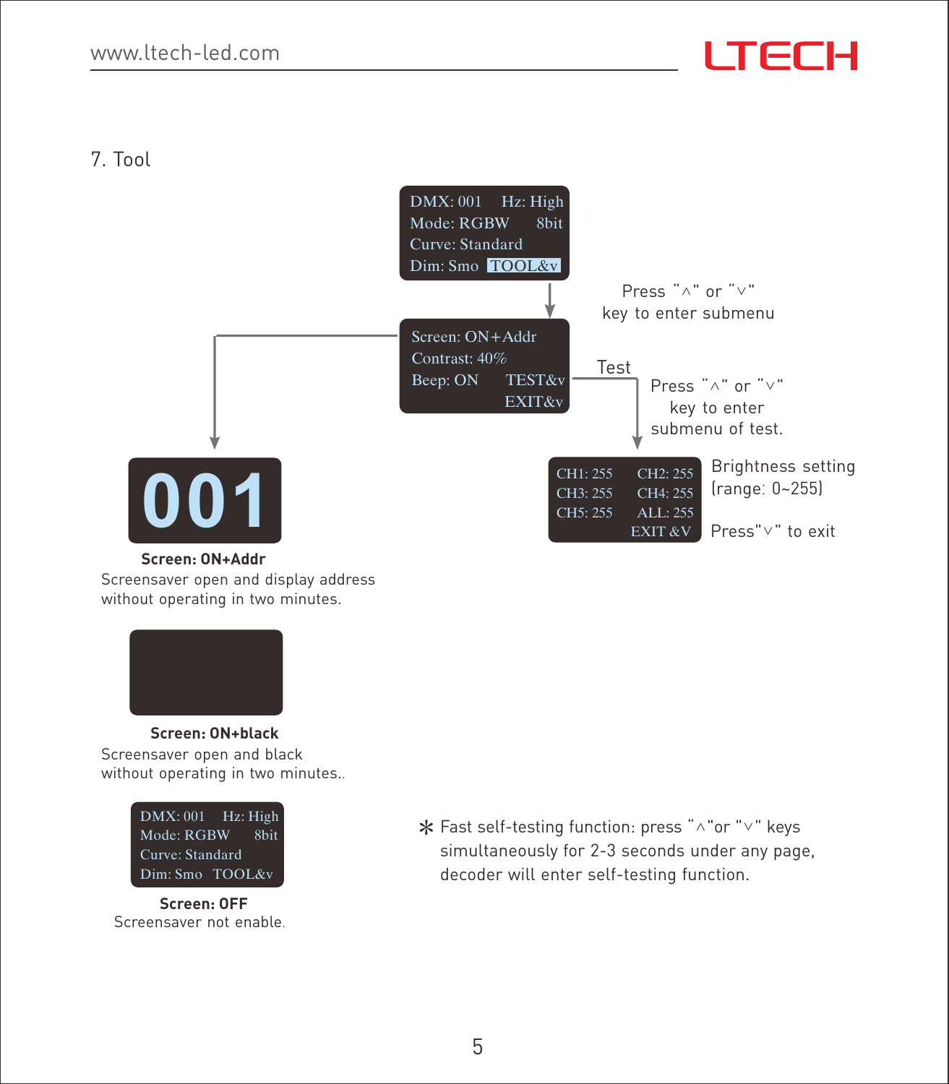7. Tool



**Screen: ON+Addr**

Screensaver open and display address without operating in two minutes.



Screensaver open and black without operating in two minutes..



Screensaver not enable. **Screen: OFF**

Fast self-testing function: press "∧"or "∨" keys simultaneously for 2-3 seconds under any page, decoder will enter self-testing function.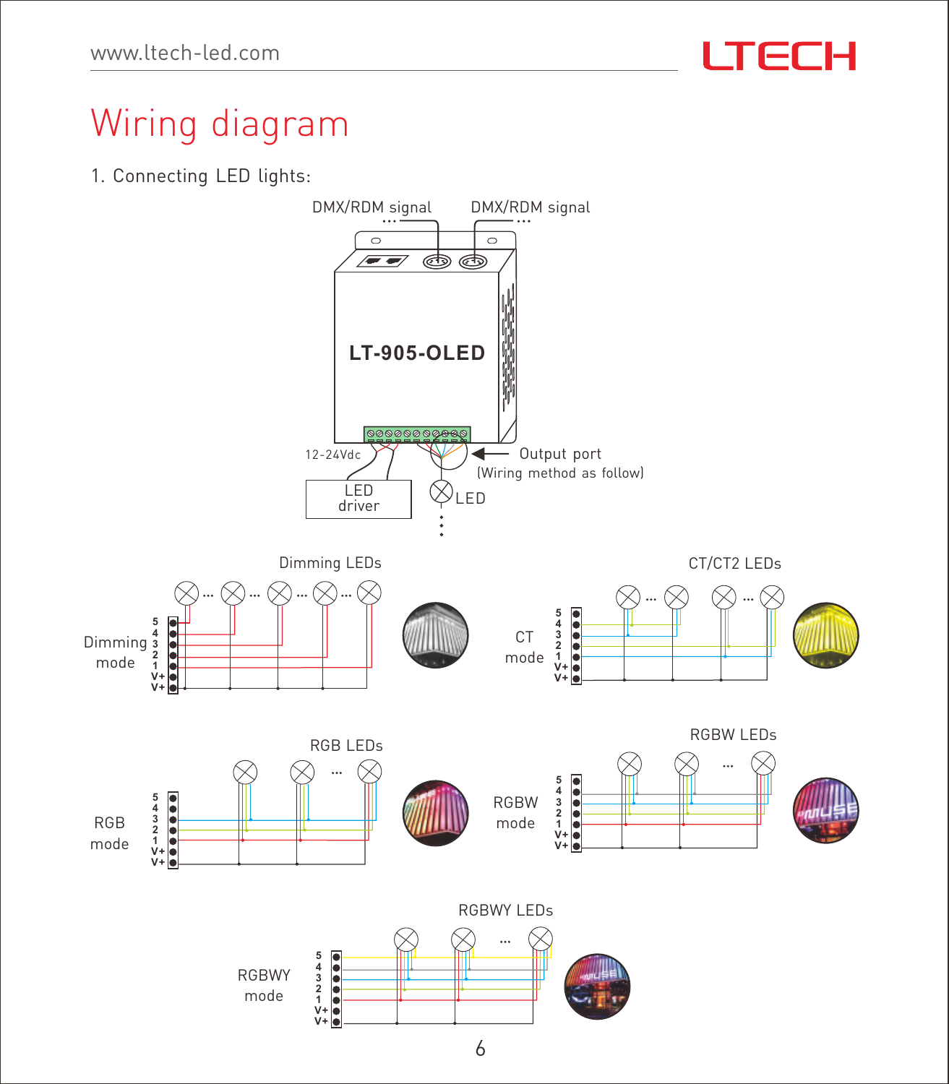

# Wiring diagram

1. Connecting LED lights:

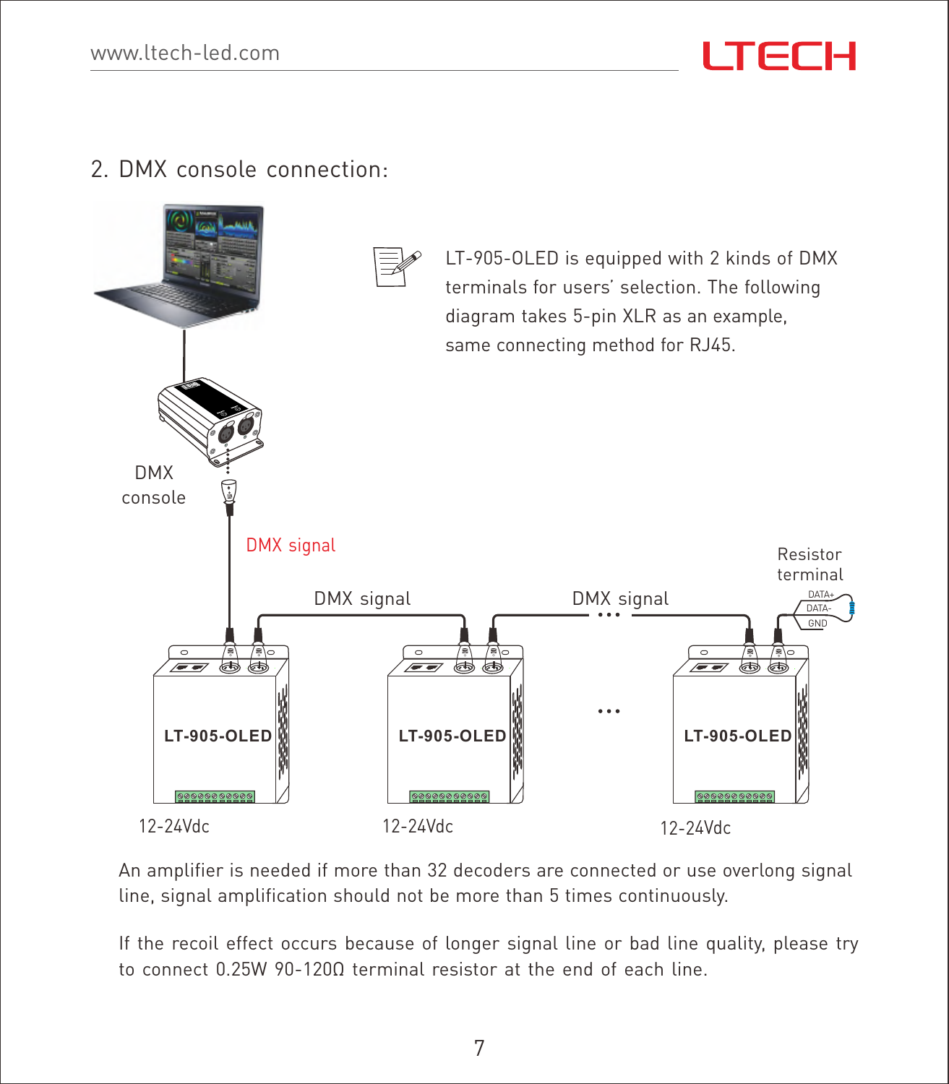#### 2. DMX console connection:



An amplifier is needed if more than 32 decoders are connected or use overlong signal line, signal amplification should not be more than 5 times continuously.

If the recoil effect occurs because of longer signal line or bad line quality, please try to connect 0.25W 90-120Ω terminal resistor at the end of each line.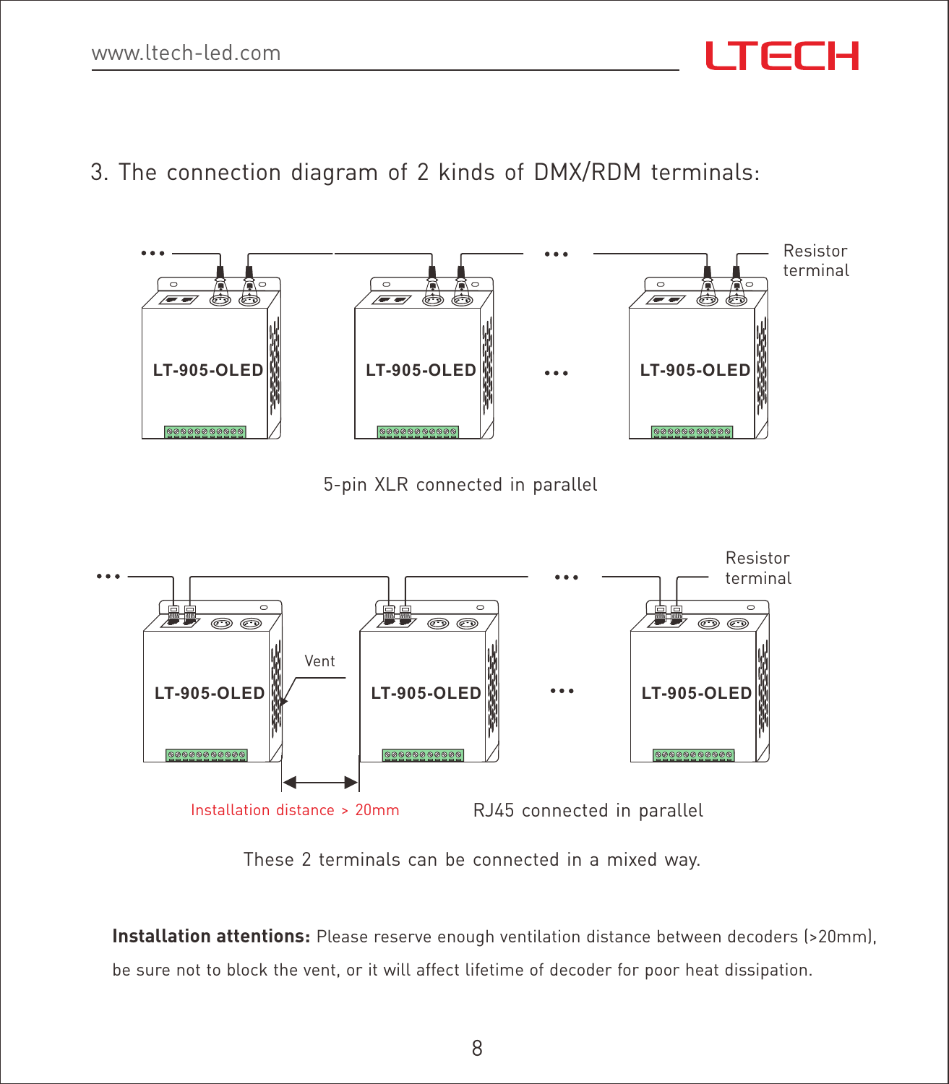3. The connection diagram of 2 kinds of DMX/RDM terminals:



5-pin XLR connected in parallel



These 2 terminals can be connected in a mixed way.

**Installation attentions:** Please reserve enough ventilation distance between decoders (>20mm), be sure not to block the vent, or it will affect lifetime of decoder for poor heat dissipation.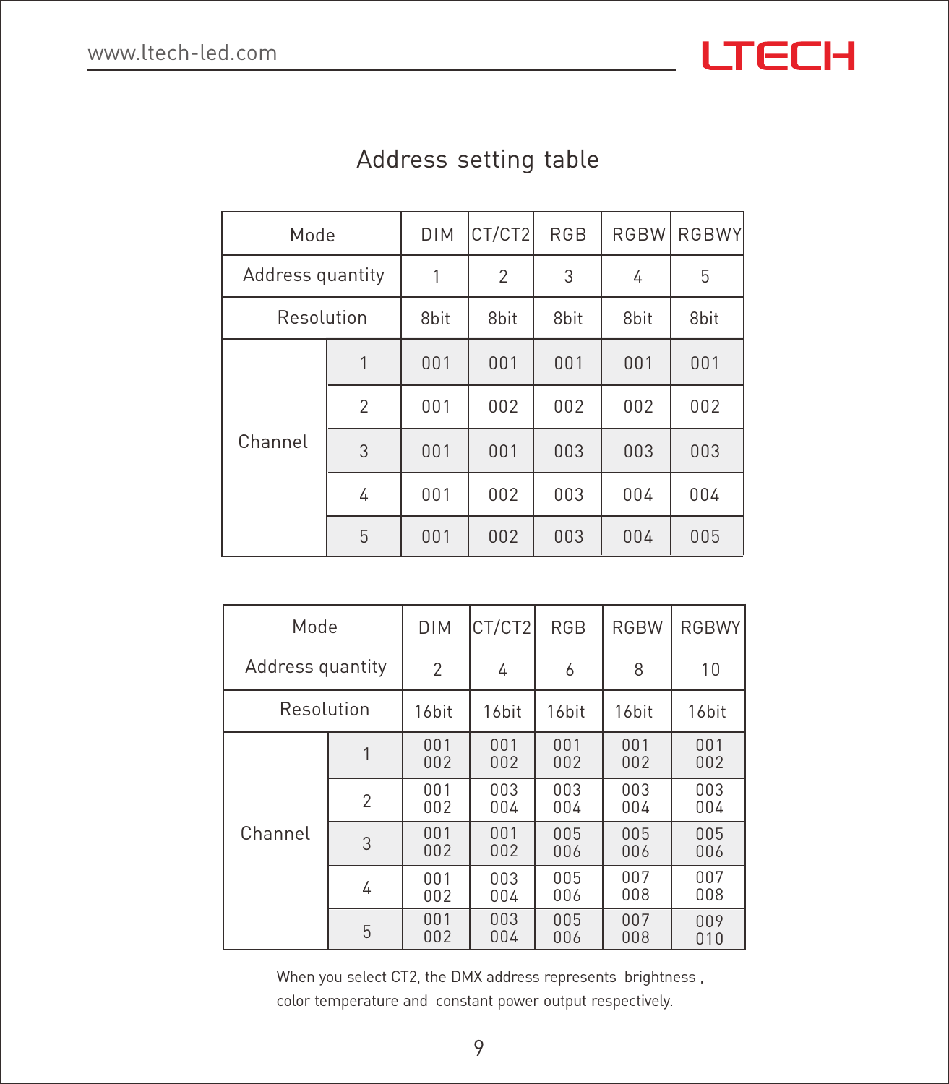| Mode             |                | <b>DIM</b>       | CT/CT2           | <b>RGB</b>       | <b>RGBW</b> | <b>RGBWY</b> |
|------------------|----------------|------------------|------------------|------------------|-------------|--------------|
| Address quantity |                | 1                | $\mathfrak{p}$   | 3                | 4           | 5            |
| Resolution       |                | 8 <sub>bit</sub> | 8 <sub>bit</sub> | 8 <sub>bit</sub> | 8bit        | 8bit         |
| Channel          | 1              | 001              | 001              | 001              | 001         | 001          |
|                  | $\mathfrak{p}$ | 001              | 002              | 002              | 002         | 002          |
|                  | 3              | 001              | 001              | 003              | 003         | 003          |
|                  | 4              | 001              | 002              | 003              | 004         | 004          |
|                  | 5              | 001              | 002              | 003              | 004         | 005          |

#### Address setting table

| Mode             |                | <b>DIM</b>        | CT/CT2     | <b>RGB</b>        | <b>RGBW</b>       | <b>RGBWY</b> |
|------------------|----------------|-------------------|------------|-------------------|-------------------|--------------|
| Address quantity |                | $\mathfrak{p}$    | 4          | 6                 | 8                 | 10           |
| Resolution       |                | 16 <sub>bit</sub> | 16bit      | 16 <sub>bit</sub> | 16 <sub>bit</sub> | 16bit        |
|                  |                | 001<br>002        | 001<br>002 | 001<br>002        | 001<br>002        | 001<br>002   |
|                  | $\mathfrak{p}$ | 001<br>002        | 003<br>004 | 003<br>004        | 003<br>004        | 003<br>004   |
| Channel          | 3              | 001<br>002        | 001<br>002 | 005<br>006        | 005<br>006        | 005<br>006   |
|                  | 4              | 001<br>002        | 003<br>004 | 005<br>006        | 007<br>008        | 007<br>008   |
|                  | 5              | 001<br>002        | 003<br>004 | 005<br>006        | 007<br>008        | 009<br>010   |

When you select CT2, the DMX address represents brightness ,

color temperature and constant power output respectively.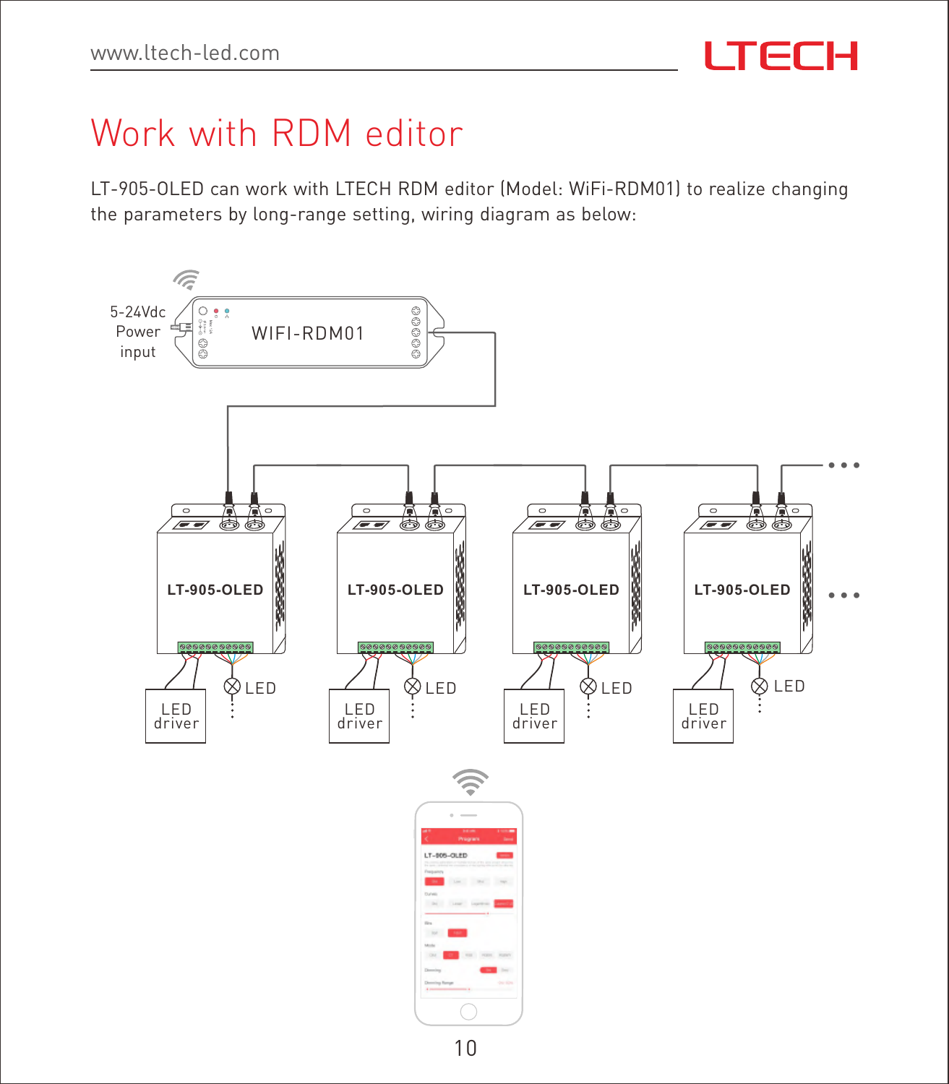## Work with RDM editor

LT-905-OLED can work with LTECH RDM editor (Model: WiFi-RDM01) to realize changing the parameters by long-range setting, wiring diagram as below: